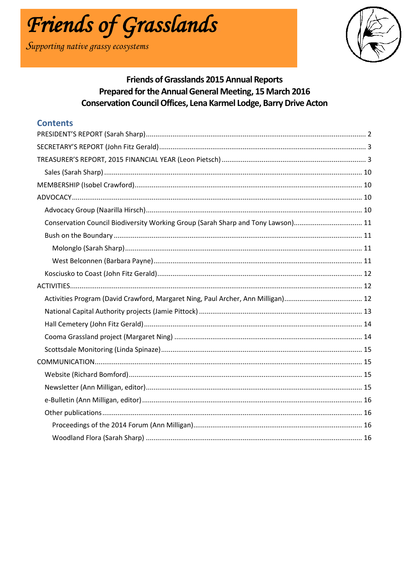

Supporting native grassy ecosystems



# **Friends of Grasslands 2015 Annual Reports** Prepared for the Annual General Meeting, 15 March 2016 **Conservation Council Offices, Lena Karmel Lodge, Barry Drive Acton**

# **Contents**

| Conservation Council Biodiversity Working Group (Sarah Sharp and Tony Lawson) 11 |  |
|----------------------------------------------------------------------------------|--|
|                                                                                  |  |
|                                                                                  |  |
|                                                                                  |  |
|                                                                                  |  |
|                                                                                  |  |
|                                                                                  |  |
|                                                                                  |  |
|                                                                                  |  |
|                                                                                  |  |
|                                                                                  |  |
|                                                                                  |  |
|                                                                                  |  |
|                                                                                  |  |
|                                                                                  |  |
|                                                                                  |  |
|                                                                                  |  |
|                                                                                  |  |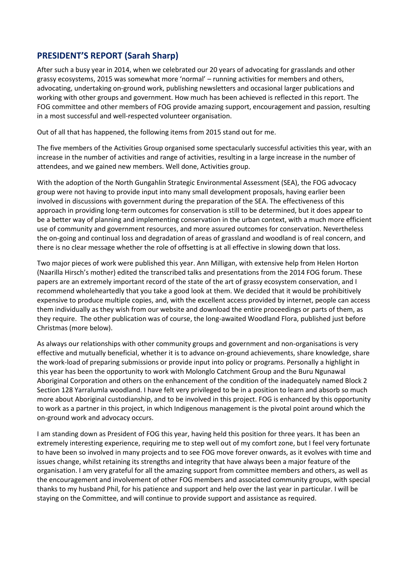# <span id="page-1-0"></span>**PRESIDENT'S REPORT (Sarah Sharp)**

After such a busy year in 2014, when we celebrated our 20 years of advocating for grasslands and other grassy ecosystems, 2015 was somewhat more 'normal' – running activities for members and others, advocating, undertaking on-ground work, publishing newsletters and occasional larger publications and working with other groups and government. How much has been achieved is reflected in this report. The FOG committee and other members of FOG provide amazing support, encouragement and passion, resulting in a most successful and well-respected volunteer organisation.

Out of all that has happened, the following items from 2015 stand out for me.

The five members of the Activities Group organised some spectacularly successful activities this year, with an increase in the number of activities and range of activities, resulting in a large increase in the number of attendees, and we gained new members. Well done, Activities group.

With the adoption of the North Gungahlin Strategic Environmental Assessment (SEA), the FOG advocacy group were not having to provide input into many small development proposals, having earlier been involved in discussions with government during the preparation of the SEA. The effectiveness of this approach in providing long-term outcomes for conservation is still to be determined, but it does appear to be a better way of planning and implementing conservation in the urban context, with a much more efficient use of community and government resources, and more assured outcomes for conservation. Nevertheless the on-going and continual loss and degradation of areas of grassland and woodland is of real concern, and there is no clear message whether the role of offsetting is at all effective in slowing down that loss.

Two major pieces of work were published this year. Ann Milligan, with extensive help from Helen Horton (Naarilla Hirsch's mother) edited the transcribed talks and presentations from the 2014 FOG forum. These papers are an extremely important record of the state of the art of grassy ecosystem conservation, and I recommend wholeheartedly that you take a good look at them. We decided that it would be prohibitively expensive to produce multiple copies, and, with the excellent access provided by internet, people can access them individually as they wish from our website and download the entire proceedings or parts of them, as they require. The other publication was of course, the long-awaited Woodland Flora, published just before Christmas (more below).

As always our relationships with other community groups and government and non-organisations is very effective and mutually beneficial, whether it is to advance on-ground achievements, share knowledge, share the work-load of preparing submissions or provide input into policy or programs. Personally a highlight in this year has been the opportunity to work with Molonglo Catchment Group and the Buru Ngunawal Aboriginal Corporation and others on the enhancement of the condition of the inadequately named Block 2 Section 128 Yarralumla woodland. I have felt very privileged to be in a position to learn and absorb so much more about Aboriginal custodianship, and to be involved in this project. FOG is enhanced by this opportunity to work as a partner in this project, in which Indigenous management is the pivotal point around which the on-ground work and advocacy occurs.

I am standing down as President of FOG this year, having held this position for three years. It has been an extremely interesting experience, requiring me to step well out of my comfort zone, but I feel very fortunate to have been so involved in many projects and to see FOG move forever onwards, as it evolves with time and issues change, whilst retaining its strengths and integrity that have always been a major feature of the organisation. I am very grateful for all the amazing support from committee members and others, as well as the encouragement and involvement of other FOG members and associated community groups, with special thanks to my husband Phil, for his patience and support and help over the last year in particular. I will be staying on the Committee, and will continue to provide support and assistance as required.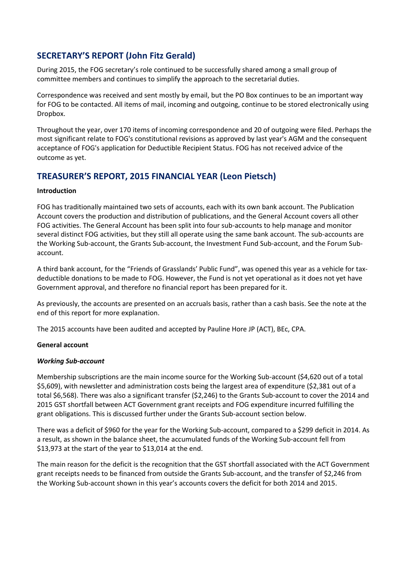# <span id="page-2-0"></span>**SECRETARY'S REPORT (John Fitz Gerald)**

During 2015, the FOG secretary's role continued to be successfully shared among a small group of committee members and continues to simplify the approach to the secretarial duties.

Correspondence was received and sent mostly by email, but the PO Box continues to be an important way for FOG to be contacted. All items of mail, incoming and outgoing, continue to be stored electronically using Dropbox.

Throughout the year, over 170 items of incoming correspondence and 20 of outgoing were filed. Perhaps the most significant relate to FOG's constitutional revisions as approved by last year's AGM and the consequent acceptance of FOG's application for Deductible Recipient Status. FOG has not received advice of the outcome as yet.

# <span id="page-2-1"></span>**TREASURER'S REPORT, 2015 FINANCIAL YEAR (Leon Pietsch)**

### **Introduction**

FOG has traditionally maintained two sets of accounts, each with its own bank account. The Publication Account covers the production and distribution of publications, and the General Account covers all other FOG activities. The General Account has been split into four sub-accounts to help manage and monitor several distinct FOG activities, but they still all operate using the same bank account. The sub-accounts are the Working Sub-account, the Grants Sub-account, the Investment Fund Sub-account, and the Forum Subaccount.

A third bank account, for the "Friends of Grasslands' Public Fund", was opened this year as a vehicle for taxdeductible donations to be made to FOG. However, the Fund is not yet operational as it does not yet have Government approval, and therefore no financial report has been prepared for it.

As previously, the accounts are presented on an accruals basis, rather than a cash basis. See the note at the end of this report for more explanation.

The 2015 accounts have been audited and accepted by Pauline Hore JP (ACT), BEc, CPA.

#### **General account**

#### *Working Sub-account*

Membership subscriptions are the main income source for the Working Sub-account (\$4,620 out of a total \$5,609), with newsletter and administration costs being the largest area of expenditure (\$2,381 out of a total \$6,568). There was also a significant transfer (\$2,246) to the Grants Sub-account to cover the 2014 and 2015 GST shortfall between ACT Government grant receipts and FOG expenditure incurred fulfilling the grant obligations. This is discussed further under the Grants Sub-account section below.

There was a deficit of \$960 for the year for the Working Sub-account, compared to a \$299 deficit in 2014. As a result, as shown in the balance sheet, the accumulated funds of the Working Sub-account fell from \$13,973 at the start of the year to \$13,014 at the end.

The main reason for the deficit is the recognition that the GST shortfall associated with the ACT Government grant receipts needs to be financed from outside the Grants Sub-account, and the transfer of \$2,246 from the Working Sub-account shown in this year's accounts covers the deficit for both 2014 and 2015.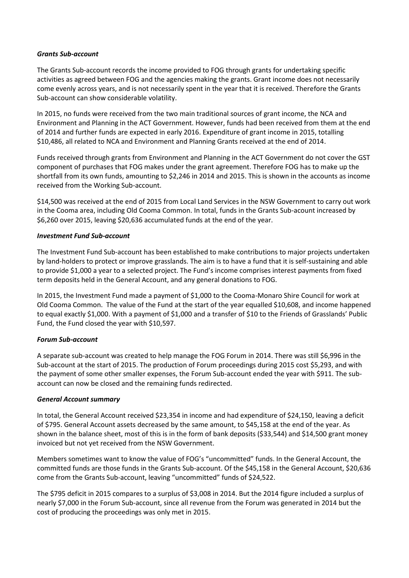#### *Grants Sub-account*

The Grants Sub-account records the income provided to FOG through grants for undertaking specific activities as agreed between FOG and the agencies making the grants. Grant income does not necessarily come evenly across years, and is not necessarily spent in the year that it is received. Therefore the Grants Sub-account can show considerable volatility.

In 2015, no funds were received from the two main traditional sources of grant income, the NCA and Environment and Planning in the ACT Government. However, funds had been received from them at the end of 2014 and further funds are expected in early 2016. Expenditure of grant income in 2015, totalling \$10,486, all related to NCA and Environment and Planning Grants received at the end of 2014.

Funds received through grants from Environment and Planning in the ACT Government do not cover the GST component of purchases that FOG makes under the grant agreement. Therefore FOG has to make up the shortfall from its own funds, amounting to \$2,246 in 2014 and 2015. This is shown in the accounts as income received from the Working Sub-account.

\$14,500 was received at the end of 2015 from Local Land Services in the NSW Government to carry out work in the Cooma area, including Old Cooma Common. In total, funds in the Grants Sub-acount increased by \$6,260 over 2015, leaving \$20,636 accumulated funds at the end of the year.

### *Investment Fund Sub-account*

The Investment Fund Sub-account has been established to make contributions to major projects undertaken by land-holders to protect or improve grasslands. The aim is to have a fund that it is self-sustaining and able to provide \$1,000 a year to a selected project. The Fund's income comprises interest payments from fixed term deposits held in the General Account, and any general donations to FOG.

In 2015, the Investment Fund made a payment of \$1,000 to the Cooma-Monaro Shire Council for work at Old Cooma Common. The value of the Fund at the start of the year equalled \$10,608, and income happened to equal exactly \$1,000. With a payment of \$1,000 and a transfer of \$10 to the Friends of Grasslands' Public Fund, the Fund closed the year with \$10,597.

#### *Forum Sub-account*

A separate sub-account was created to help manage the FOG Forum in 2014. There was still \$6,996 in the Sub-account at the start of 2015. The production of Forum proceedings during 2015 cost \$5,293, and with the payment of some other smaller expenses, the Forum Sub-account ended the year with \$911. The subaccount can now be closed and the remaining funds redirected.

#### *General Account summary*

In total, the General Account received \$23,354 in income and had expenditure of \$24,150, leaving a deficit of \$795. General Account assets decreased by the same amount, to \$45,158 at the end of the year. As shown in the balance sheet, most of this is in the form of bank deposits (\$33,544) and \$14,500 grant money invoiced but not yet received from the NSW Government.

Members sometimes want to know the value of FOG's "uncommitted" funds. In the General Account, the committed funds are those funds in the Grants Sub-account. Of the \$45,158 in the General Account, \$20,636 come from the Grants Sub-account, leaving "uncommitted" funds of \$24,522.

The \$795 deficit in 2015 compares to a surplus of \$3,008 in 2014. But the 2014 figure included a surplus of nearly \$7,000 in the Forum Sub-account, since all revenue from the Forum was generated in 2014 but the cost of producing the proceedings was only met in 2015.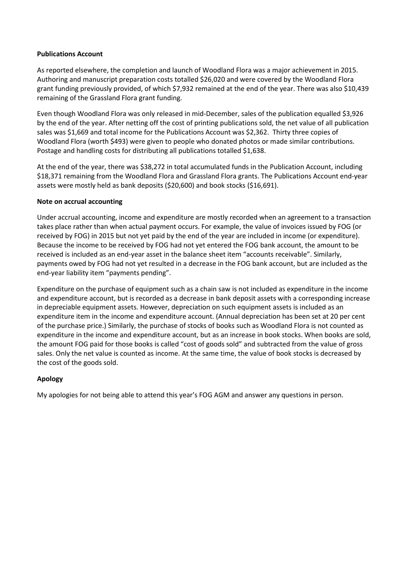### **Publications Account**

As reported elsewhere, the completion and launch of Woodland Flora was a major achievement in 2015. Authoring and manuscript preparation costs totalled \$26,020 and were covered by the Woodland Flora grant funding previously provided, of which \$7,932 remained at the end of the year. There was also \$10,439 remaining of the Grassland Flora grant funding.

Even though Woodland Flora was only released in mid-December, sales of the publication equalled \$3,926 by the end of the year. After netting off the cost of printing publications sold, the net value of all publication sales was \$1,669 and total income for the Publications Account was \$2,362. Thirty three copies of Woodland Flora (worth \$493) were given to people who donated photos or made similar contributions. Postage and handling costs for distributing all publications totalled \$1,638.

At the end of the year, there was \$38,272 in total accumulated funds in the Publication Account, including \$18,371 remaining from the Woodland Flora and Grassland Flora grants. The Publications Account end-year assets were mostly held as bank deposits (\$20,600) and book stocks (\$16,691).

### **Note on accrual accounting**

Under accrual accounting, income and expenditure are mostly recorded when an agreement to a transaction takes place rather than when actual payment occurs. For example, the value of invoices issued by FOG (or received by FOG) in 2015 but not yet paid by the end of the year are included in income (or expenditure). Because the income to be received by FOG had not yet entered the FOG bank account, the amount to be received is included as an end-year asset in the balance sheet item "accounts receivable". Similarly, payments owed by FOG had not yet resulted in a decrease in the FOG bank account, but are included as the end-year liability item "payments pending".

Expenditure on the purchase of equipment such as a chain saw is not included as expenditure in the income and expenditure account, but is recorded as a decrease in bank deposit assets with a corresponding increase in depreciable equipment assets. However, depreciation on such equipment assets is included as an expenditure item in the income and expenditure account. (Annual depreciation has been set at 20 per cent of the purchase price.) Similarly, the purchase of stocks of books such as Woodland Flora is not counted as expenditure in the income and expenditure account, but as an increase in book stocks. When books are sold, the amount FOG paid for those books is called "cost of goods sold" and subtracted from the value of gross sales. Only the net value is counted as income. At the same time, the value of book stocks is decreased by the cost of the goods sold.

### **Apology**

My apologies for not being able to attend this year's FOG AGM and answer any questions in person.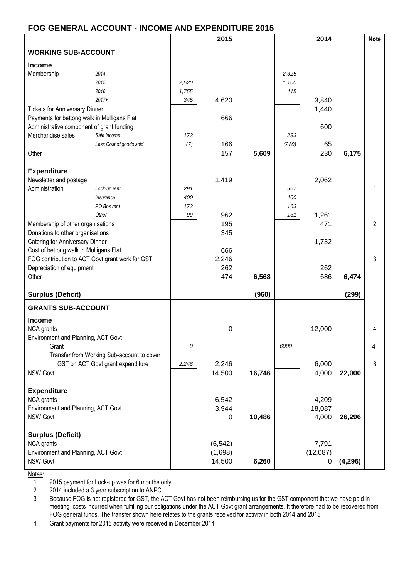# **FOG GENERAL ACCOUNT - INCOME AND EXPENDITURE 2015**

|                                                 |                                            |       | 2015        |        |       | 2014         |          | <b>Note</b>    |
|-------------------------------------------------|--------------------------------------------|-------|-------------|--------|-------|--------------|----------|----------------|
| <b>WORKING SUB-ACCOUNT</b>                      |                                            |       |             |        |       |              |          |                |
| <b>Income</b>                                   |                                            |       |             |        |       |              |          |                |
| Membership                                      | 2014                                       |       |             |        | 2,325 |              |          |                |
|                                                 | 2015                                       | 2,520 |             |        | 1,100 |              |          |                |
|                                                 | 2016                                       | 1,755 |             |        | 415   |              |          |                |
|                                                 | $2017+$                                    | 345   | 4,620       |        |       | 3,840        |          |                |
| <b>Tickets for Anniversary Dinner</b>           |                                            |       |             |        |       | 1,440        |          |                |
| Payments for bettong walk in Mulligans Flat     |                                            |       | 666         |        |       |              |          |                |
| Administrative component of grant funding       |                                            |       |             |        |       | 600          |          |                |
| Merchandise sales                               | Sale income                                | 173   |             |        | 283   |              |          |                |
|                                                 | Less Cost of goods sold                    | (7)   | 166         |        | (218) | 65           |          |                |
| Other                                           |                                            |       | 157         | 5,609  |       | 230          | 6,175    |                |
|                                                 |                                            |       |             |        |       |              |          |                |
| <b>Expenditure</b>                              |                                            |       |             |        |       |              |          |                |
| Newsletter and postage                          |                                            |       | 1,419       |        |       | 2,062        |          |                |
| Administration                                  | Lock-up rent                               | 291   |             |        | 567   |              |          | 1              |
|                                                 | Insurance                                  | 400   |             |        | 400   |              |          |                |
|                                                 | PO Box rent                                | 172   |             |        | 163   |              |          |                |
|                                                 | Other                                      | 99    | 962         |        | 131   | 1,261        |          |                |
| Membership of other organisations               |                                            |       | 195         |        |       | 471          |          | $\overline{2}$ |
| Donations to other organisations                |                                            |       | 345         |        |       |              |          |                |
| Catering for Anniversary Dinner                 |                                            |       |             |        |       | 1,732        |          |                |
| Cost of bettong walk in Mulligans Flat          |                                            |       | 666         |        |       |              |          |                |
| FOG contribution to ACT Govt grant work for GST |                                            |       | 2,246       |        |       |              |          | 3              |
| Depreciation of equipment                       |                                            |       | 262         |        |       | 262          |          |                |
| Other                                           |                                            |       | 474         | 6,568  |       | 686          | 6,474    |                |
| <b>Surplus (Deficit)</b>                        |                                            |       |             | (960)  |       |              | (299)    |                |
| <b>GRANTS SUB-ACCOUNT</b>                       |                                            |       |             |        |       |              |          |                |
| <b>Income</b>                                   |                                            |       |             |        |       |              |          |                |
| NCA grants                                      |                                            |       | $\mathbf 0$ |        |       | 12,000       |          | 4              |
| Environment and Planning, ACT Govt              |                                            |       |             |        |       |              |          |                |
| Grant                                           |                                            | 0     |             |        | 6000  |              |          | 4              |
|                                                 | Transfer from Working Sub-account to cover |       |             |        |       |              |          |                |
|                                                 | GST on ACT Govt grant expenditure          | 2,246 | 2,246       |        |       | 6,000        |          | 3              |
| <b>NSW Govt</b>                                 |                                            |       | 14,500      | 16,746 |       | 4,000        | 22,000   |                |
|                                                 |                                            |       |             |        |       |              |          |                |
| <b>Expenditure</b>                              |                                            |       |             |        |       |              |          |                |
| NCA grants                                      |                                            |       | 6,542       |        |       | 4,209        |          |                |
| Environment and Planning, ACT Govt              |                                            |       | 3,944       |        |       | 18,087       |          |                |
| NSW Govt                                        |                                            |       | 0           | 10,486 |       | 4,000        | 26,296   |                |
|                                                 |                                            |       |             |        |       |              |          |                |
| <b>Surplus (Deficit)</b>                        |                                            |       |             |        |       |              |          |                |
| NCA grants                                      |                                            |       | (6, 542)    |        |       | 7,791        |          |                |
| Environment and Planning, ACT Govt              |                                            |       | (1,698)     |        |       | (12,087)     |          |                |
| NSW Govt                                        |                                            |       | 14,500      | 6,260  |       | $\mathbf{0}$ | (4, 296) |                |
|                                                 |                                            |       |             |        |       |              |          |                |

Notes:

1 2015 payment for Lock-up was for 6 months only

2 2014 included a 3 year subscription to ANPC

3 Because FOG is not registered for GST, the ACT Govt has not been reimbursing us for the GST component that we have paid in meeting costs incurred when fulfilling our obligations under the ACT Govt grant arrangements. It therefore had to be recovered from FOG general funds. The transfer shown here relates to the grants received for activity in both 2014 and 2015.

4 Grant payments for 2015 activity were received in December 2014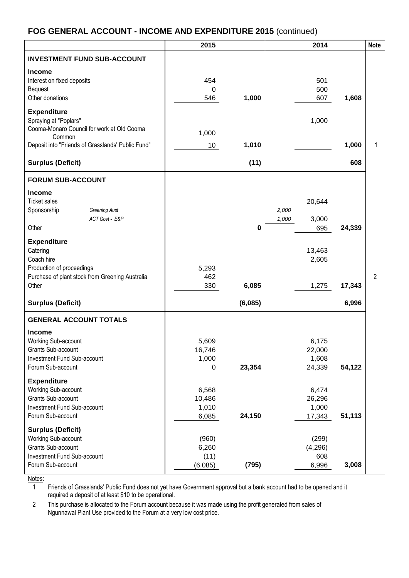# **FOG GENERAL ACCOUNT - INCOME AND EXPENDITURE 2015** (continued)

|                                                                                                                                                          | 2015                              |         | 2014                                     |        | <b>Note</b>    |
|----------------------------------------------------------------------------------------------------------------------------------------------------------|-----------------------------------|---------|------------------------------------------|--------|----------------|
| <b>INVESTMENT FUND SUB-ACCOUNT</b>                                                                                                                       |                                   |         |                                          |        |                |
| <b>Income</b><br>Interest on fixed deposits<br>Bequest<br>Other donations                                                                                | 454<br>0<br>546                   | 1,000   | 501<br>500<br>607                        | 1,608  |                |
| <b>Expenditure</b><br>Spraying at "Poplars"<br>Cooma-Monaro Council for work at Old Cooma<br>Common<br>Deposit into "Friends of Grasslands' Public Fund" | 1,000<br>10                       | 1,010   | 1,000                                    | 1,000  | 1              |
|                                                                                                                                                          |                                   |         |                                          |        |                |
| <b>Surplus (Deficit)</b>                                                                                                                                 |                                   | (11)    |                                          | 608    |                |
| <b>FORUM SUB-ACCOUNT</b>                                                                                                                                 |                                   |         |                                          |        |                |
| <b>Income</b><br><b>Ticket sales</b><br>Sponsorship<br><b>Greening Aust</b><br>ACT Govt - E&P<br>Other                                                   |                                   | 0       | 20,644<br>2,000<br>3,000<br>1,000<br>695 | 24,339 |                |
| <b>Expenditure</b><br>Catering<br>Coach hire<br>Production of proceedings<br>Purchase of plant stock from Greening Australia<br>Other                    | 5,293<br>462<br>330               | 6,085   | 13,463<br>2,605<br>1,275                 | 17,343 | $\overline{2}$ |
| <b>Surplus (Deficit)</b>                                                                                                                                 |                                   | (6,085) |                                          | 6,996  |                |
| <b>GENERAL ACCOUNT TOTALS</b>                                                                                                                            |                                   |         |                                          |        |                |
| <b>Income</b><br>Working Sub-account<br>Grants Sub-account<br>Investment Fund Sub-account<br>Forum Sub-account                                           | 5,609<br>16,746<br>1,000<br>0     | 23,354  | 6,175<br>22,000<br>1,608<br>24,339       | 54,122 |                |
| <b>Expenditure</b><br>Working Sub-account<br>Grants Sub-account<br>Investment Fund Sub-account<br>Forum Sub-account                                      | 6,568<br>10,486<br>1,010<br>6,085 | 24,150  | 6,474<br>26,296<br>1,000<br>17,343       | 51,113 |                |
| <b>Surplus (Deficit)</b><br>Working Sub-account<br>Grants Sub-account<br>Investment Fund Sub-account<br>Forum Sub-account                                | (960)<br>6,260<br>(11)<br>(6,085) | (795)   | (299)<br>(4,296)<br>608<br>6,996         | 3,008  |                |

Notes:

1 Friends of Grasslands' Public Fund does not yet have Government approval but a bank account had to be opened and it required a deposit of at least \$10 to be operational.

2 This purchase is allocated to the Forum account because it was made using the profit generated from sales of Ngunnawal Plant Use provided to the Forum at a very low cost price.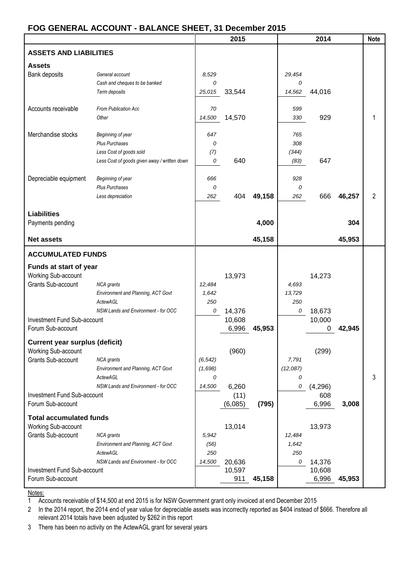## **FOG GENERAL ACCOUNT - BALANCE SHEET, 31 December 2015**

|                                           |                                                 |          | 2015             |        |          | 2014             |        | <b>Note</b>    |
|-------------------------------------------|-------------------------------------------------|----------|------------------|--------|----------|------------------|--------|----------------|
| <b>ASSETS AND LIABILITIES</b>             |                                                 |          |                  |        |          |                  |        |                |
|                                           |                                                 |          |                  |        |          |                  |        |                |
| <b>Assets</b>                             | General account                                 | 8,529    |                  |        | 29,454   |                  |        |                |
| Bank deposits                             | Cash and cheques to be banked                   | 0        |                  |        | 0        |                  |        |                |
|                                           | Term deposits                                   | 25,015   | 33,544           |        | 14,562   | 44,016           |        |                |
|                                           |                                                 |          |                  |        |          |                  |        |                |
| Accounts receivable                       | From Publication Acc                            | 70       |                  |        | 599      |                  |        |                |
|                                           | Other                                           | 14,500   | 14,570           |        | 330      | 929              |        |                |
|                                           |                                                 |          |                  |        |          |                  |        |                |
| Merchandise stocks                        | Beginning of year                               | 647      |                  |        | 765      |                  |        |                |
|                                           | <b>Plus Purchases</b>                           | 0        |                  |        | 308      |                  |        |                |
|                                           | Less Cost of goods sold                         | (7)      |                  |        | (344)    |                  |        |                |
|                                           | Less Cost of goods given away / written down    | 0        | 640              |        | (83)     | 647              |        |                |
| Depreciable equipment                     | Beginning of year                               | 666      |                  |        | 928      |                  |        |                |
|                                           | <b>Plus Purchases</b>                           | 0        |                  |        | 0        |                  |        |                |
|                                           | Less depreciation                               | 262      | 404              | 49,158 | 262      | 666              | 46,257 | $\overline{2}$ |
|                                           |                                                 |          |                  |        |          |                  |        |                |
| <b>Liabilities</b>                        |                                                 |          |                  |        |          |                  |        |                |
| Payments pending                          |                                                 |          |                  | 4,000  |          |                  | 304    |                |
| <b>Net assets</b>                         |                                                 |          |                  | 45,158 |          |                  | 45,953 |                |
| <b>ACCUMULATED FUNDS</b>                  |                                                 |          |                  |        |          |                  |        |                |
| Funds at start of year                    |                                                 |          |                  |        |          |                  |        |                |
| Working Sub-account                       |                                                 |          | 13,973           |        |          | 14,273           |        |                |
| Grants Sub-account                        | <b>NCA</b> grants                               | 12,484   |                  |        | 4,693    |                  |        |                |
|                                           | Environment and Planning, ACT Govt              | 1,642    |                  |        | 13,729   |                  |        |                |
|                                           | <b>ActewAGL</b>                                 | 250      |                  |        | 250      |                  |        |                |
|                                           | NSW Lands and Environment - for OCC             | 0        | 14,376           |        | 0        | 18,673           |        |                |
| Investment Fund Sub-account               |                                                 |          | 10,608           |        |          | 10,000           |        |                |
| Forum Sub-account                         |                                                 |          | 6,996            | 45,953 |          | 0                | 42,945 |                |
|                                           |                                                 |          |                  |        |          |                  |        |                |
| <b>Current year surplus (deficit)</b>     |                                                 |          |                  |        |          |                  |        |                |
| Working Sub-account<br>Grants Sub-account | <b>NCA</b> grants                               | (6, 542) | (960)            |        | 7,791    | (299)            |        |                |
|                                           | Environment and Planning, ACT Govt              | (1,698)  |                  |        | (12,087) |                  |        |                |
|                                           | ActewAGL                                        | 0        |                  |        | 0        |                  |        | 3              |
|                                           | NSW Lands and Environment - for OCC             | 14,500   | 6,260            |        | 0        | (4,296)          |        |                |
| Investment Fund Sub-account               |                                                 |          | (11)             |        |          | 608              |        |                |
| Forum Sub-account                         |                                                 |          | (6,085)          | (795)  |          | 6,996            | 3,008  |                |
|                                           |                                                 |          |                  |        |          |                  |        |                |
| <b>Total accumulated funds</b>            |                                                 |          |                  |        |          |                  |        |                |
| Working Sub-account                       |                                                 |          | 13,014           |        |          | 13,973           |        |                |
| Grants Sub-account                        | <b>NCA</b> grants                               | 5,942    |                  |        | 12,484   |                  |        |                |
|                                           | Environment and Planning, ACT Govt              | (56)     |                  |        | 1,642    |                  |        |                |
|                                           | ActewAGL<br>NSW Lands and Environment - for OCC | 250      |                  |        | 250      |                  |        |                |
| Investment Fund Sub-account               |                                                 | 14,500   | 20,636<br>10,597 |        | 0        | 14,376<br>10,608 |        |                |
| Forum Sub-account                         |                                                 |          | 911              | 45,158 |          | 6,996            | 45,953 |                |
|                                           |                                                 |          |                  |        |          |                  |        |                |

Notes:

1 Accounts receivable of \$14,500 at end 2015 is for NSW Government grant only invoiced at end December 2015

2 In the 2014 report, the 2014 end of year value for depreciable assets was incorrectly reported as \$404 instead of \$666. Therefore all relevant 2014 totals have been adjusted by \$262 in this report

3 There has been no activity on the ActewAGL grant for several years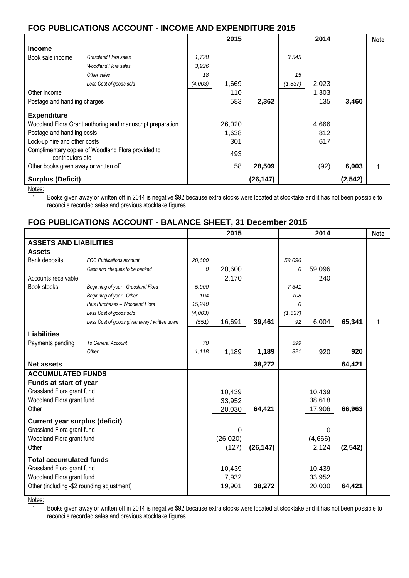# **FOG PUBLICATIONS ACCOUNT - INCOME AND EXPENDITURE 2015**

|                                                                                                                                                                                                                         |                             |         | 2015                          |           |          | 2014                |          | <b>Note</b> |
|-------------------------------------------------------------------------------------------------------------------------------------------------------------------------------------------------------------------------|-----------------------------|---------|-------------------------------|-----------|----------|---------------------|----------|-------------|
| <b>Income</b>                                                                                                                                                                                                           |                             |         |                               |           |          |                     |          |             |
| Book sale income                                                                                                                                                                                                        | Grassland Flora sales       | 1,728   |                               |           | 3,545    |                     |          |             |
|                                                                                                                                                                                                                         | <b>Woodland Flora sales</b> | 3,926   |                               |           |          |                     |          |             |
|                                                                                                                                                                                                                         | Other sales                 | 18      |                               |           | 15       |                     |          |             |
|                                                                                                                                                                                                                         | Less Cost of goods sold     | (4,003) | 1,669                         |           | (1, 537) | 2,023               |          |             |
| Other income                                                                                                                                                                                                            |                             |         | 110                           |           |          | 1,303               |          |             |
| Postage and handling charges                                                                                                                                                                                            |                             |         | 583                           | 2,362     |          | 135                 | 3,460    |             |
| <b>Expenditure</b><br>Woodland Flora Grant authoring and manuscript preparation<br>Postage and handling costs<br>Lock-up hire and other costs<br>Complimentary copies of Woodland Flora provided to<br>contributors etc |                             |         | 26,020<br>1,638<br>301<br>493 |           |          | 4,666<br>812<br>617 |          |             |
| Other books given away or written off                                                                                                                                                                                   |                             |         | 58                            | 28,509    |          | (92)                | 6,003    |             |
| <b>Surplus (Deficit)</b>                                                                                                                                                                                                |                             |         |                               | (26, 147) |          |                     | (2, 542) |             |

Notes:

1 Books given away or written off in 2014 is negative \$92 because extra stocks were located at stocktake and it has not been possible to reconcile recorded sales and previous stocktake figures

## **FOG PUBLICATIONS ACCOUNT - BALANCE SHEET, 31 December 2015**

|                                            |                                              |         | 2015      |           |          | 2014    |          | <b>Note</b> |
|--------------------------------------------|----------------------------------------------|---------|-----------|-----------|----------|---------|----------|-------------|
| <b>ASSETS AND LIABILITIES</b>              |                                              |         |           |           |          |         |          |             |
| <b>Assets</b>                              |                                              |         |           |           |          |         |          |             |
| <b>Bank deposits</b>                       | <b>FOG Publications account</b>              | 20,600  |           |           | 59,096   |         |          |             |
|                                            | Cash and cheques to be banked                | 0       | 20,600    |           | 0        | 59,096  |          |             |
| Accounts receivable                        |                                              |         | 2,170     |           |          | 240     |          |             |
| Book stocks                                | Beginning of year - Grassland Flora          | 5,900   |           |           | 7,341    |         |          |             |
|                                            | Beginning of year - Other                    | 104     |           |           | 108      |         |          |             |
|                                            | Plus Purchases - Woodland Flora              | 15,240  |           |           | 0        |         |          |             |
|                                            | Less Cost of goods sold                      | (4,003) |           |           | (1, 537) |         |          |             |
|                                            | Less Cost of goods given away / written down | (551)   | 16,691    | 39,461    | 92       | 6,004   | 65,341   |             |
| <b>Liabilities</b>                         |                                              |         |           |           |          |         |          |             |
| Payments pending                           | To General Account                           | 70      |           |           | 599      |         |          |             |
|                                            | Other                                        | 1,118   | 1,189     | 1,189     | 321      | 920     | 920      |             |
| <b>Net assets</b>                          |                                              |         |           | 38,272    |          |         | 64,421   |             |
| <b>ACCUMULATED FUNDS</b>                   |                                              |         |           |           |          |         |          |             |
| Funds at start of year                     |                                              |         |           |           |          |         |          |             |
| Grassland Flora grant fund                 |                                              |         | 10,439    |           |          | 10,439  |          |             |
| Woodland Flora grant fund                  |                                              |         | 33,952    |           |          | 38,618  |          |             |
| Other                                      |                                              |         | 20,030    | 64,421    |          | 17,906  | 66,963   |             |
| <b>Current year surplus (deficit)</b>      |                                              |         |           |           |          |         |          |             |
| Grassland Flora grant fund                 |                                              |         | $\Omega$  |           |          | 0       |          |             |
| Woodland Flora grant fund                  |                                              |         | (26, 020) |           |          | (4,666) |          |             |
| Other                                      |                                              |         | (127)     | (26, 147) |          | 2,124   | (2, 542) |             |
| <b>Total accumulated funds</b>             |                                              |         |           |           |          |         |          |             |
| Grassland Flora grant fund                 |                                              |         | 10,439    |           |          | 10,439  |          |             |
| Woodland Flora grant fund                  |                                              |         | 7,932     |           |          | 33,952  |          |             |
| Other (including -\$2 rounding adjustment) |                                              |         | 19,901    | 38,272    |          | 20,030  | 64,421   |             |

Notes:

1 Books given away or written off in 2014 is negative \$92 because extra stocks were located at stocktake and it has not been possible to reconcile recorded sales and previous stocktake figures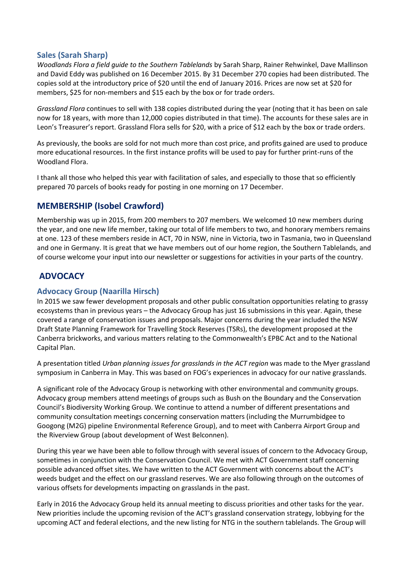## <span id="page-9-0"></span>**Sales (Sarah Sharp)**

*Woodlands Flora a field guide to the Southern Tablelands* by Sarah Sharp, Rainer Rehwinkel, Dave Mallinson and David Eddy was published on 16 December 2015. By 31 December 270 copies had been distributed. The copies sold at the introductory price of \$20 until the end of January 2016. Prices are now set at \$20 for members, \$25 for non-members and \$15 each by the box or for trade orders.

*Grassland Flora* continues to sell with 138 copies distributed during the year (noting that it has been on sale now for 18 years, with more than 12,000 copies distributed in that time). The accounts for these sales are in Leon's Treasurer's report. Grassland Flora sells for \$20, with a price of \$12 each by the box or trade orders.

As previously, the books are sold for not much more than cost price, and profits gained are used to produce more educational resources. In the first instance profits will be used to pay for further print-runs of the Woodland Flora.

I thank all those who helped this year with facilitation of sales, and especially to those that so efficiently prepared 70 parcels of books ready for posting in one morning on 17 December.

# <span id="page-9-1"></span>**MEMBERSHIP (Isobel Crawford)**

Membership was up in 2015, from 200 members to 207 members. We welcomed 10 new members during the year, and one new life member, taking our total of life members to two, and honorary members remains at one. 123 of these members reside in ACT, 70 in NSW, nine in Victoria, two in Tasmania, two in Queensland and one in Germany. It is great that we have members out of our home region, the Southern Tablelands, and of course welcome your input into our newsletter or suggestions for activities in your parts of the country.

# <span id="page-9-2"></span>**ADVOCACY**

## <span id="page-9-3"></span>**Advocacy Group (Naarilla Hirsch)**

In 2015 we saw fewer development proposals and other public consultation opportunities relating to grassy ecosystems than in previous years – the Advocacy Group has just 16 submissions in this year. Again, these covered a range of conservation issues and proposals. Major concerns during the year included the NSW Draft State Planning Framework for Travelling Stock Reserves (TSRs), the development proposed at the Canberra brickworks, and various matters relating to the Commonwealth's EPBC Act and to the National Capital Plan.

A presentation titled *Urban planning issues for grasslands in the ACT region* was made to the Myer grassland symposium in Canberra in May. This was based on FOG's experiences in advocacy for our native grasslands.

A significant role of the Advocacy Group is networking with other environmental and community groups. Advocacy group members attend meetings of groups such as Bush on the Boundary and the Conservation Council's Biodiversity Working Group. We continue to attend a number of different presentations and community consultation meetings concerning conservation matters (including the Murrumbidgee to Googong (M2G) pipeline Environmental Reference Group), and to meet with Canberra Airport Group and the Riverview Group (about development of West Belconnen).

During this year we have been able to follow through with several issues of concern to the Advocacy Group, sometimes in conjunction with the Conservation Council. We met with ACT Government staff concerning possible advanced offset sites. We have written to the ACT Government with concerns about the ACT's weeds budget and the effect on our grassland reserves. We are also following through on the outcomes of various offsets for developments impacting on grasslands in the past.

Early in 2016 the Advocacy Group held its annual meeting to discuss priorities and other tasks for the year. New priorities include the upcoming revision of the ACT's grassland conservation strategy, lobbying for the upcoming ACT and federal elections, and the new listing for NTG in the southern tablelands. The Group will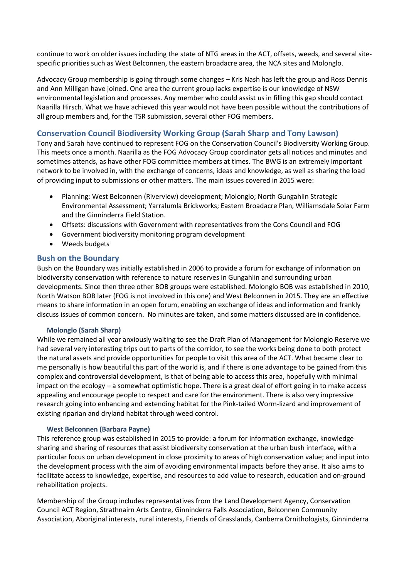continue to work on older issues including the state of NTG areas in the ACT, offsets, weeds, and several sitespecific priorities such as West Belconnen, the eastern broadacre area, the NCA sites and Molonglo.

Advocacy Group membership is going through some changes – Kris Nash has left the group and Ross Dennis and Ann Milligan have joined. One area the current group lacks expertise is our knowledge of NSW environmental legislation and processes. Any member who could assist us in filling this gap should contact Naarilla Hirsch. What we have achieved this year would not have been possible without the contributions of all group members and, for the TSR submission, several other FOG members.

## <span id="page-10-0"></span>**Conservation Council Biodiversity Working Group (Sarah Sharp and Tony Lawson)**

Tony and Sarah have continued to represent FOG on the Conservation Council's Biodiversity Working Group. This meets once a month. Naarilla as the FOG Advocacy Group coordinator gets all notices and minutes and sometimes attends, as have other FOG committee members at times. The BWG is an extremely important network to be involved in, with the exchange of concerns, ideas and knowledge, as well as sharing the load of providing input to submissions or other matters. The main issues covered in 2015 were:

- Planning: West Belconnen (Riverview) development; Molonglo; North Gungahlin Strategic Environmental Assessment; Yarralumla Brickworks; Eastern Broadacre Plan, Williamsdale Solar Farm and the Ginninderra Field Station.
- Offsets: discussions with Government with representatives from the Cons Council and FOG
- Government biodiversity monitoring program development
- Weeds budgets

## <span id="page-10-1"></span>**Bush on the Boundary**

Bush on the Boundary was initially established in 2006 to provide a forum for exchange of information on biodiversity conservation with reference to nature reserves in Gungahlin and surrounding urban developments. Since then three other BOB groups were established. Molonglo BOB was established in 2010, North Watson BOB later (FOG is not involved in this one) and West Belconnen in 2015. They are an effective means to share information in an open forum, enabling an exchange of ideas and information and frankly discuss issues of common concern. No minutes are taken, and some matters discussed are in confidence.

#### **Molonglo (Sarah Sharp)**

<span id="page-10-2"></span>While we remained all year anxiously waiting to see the Draft Plan of Management for Molonglo Reserve we had several very interesting trips out to parts of the corridor, to see the works being done to both protect the natural assets and provide opportunities for people to visit this area of the ACT. What became clear to me personally is how beautiful this part of the world is, and if there is one advantage to be gained from this complex and controversial development, is that of being able to access this area, hopefully with minimal impact on the ecology – a somewhat optimistic hope. There is a great deal of effort going in to make access appealing and encourage people to respect and care for the environment. There is also very impressive research going into enhancing and extending habitat for the Pink-tailed Worm-lizard and improvement of existing riparian and dryland habitat through weed control.

#### **West Belconnen (Barbara Payne)**

<span id="page-10-3"></span>This reference group was established in 2015 to provide: a forum for information exchange, knowledge sharing and sharing of resources that assist biodiversity conservation at the urban bush interface, with a particular focus on urban development in close proximity to areas of high conservation value; and input into the development process with the aim of avoiding environmental impacts before they arise. It also aims to facilitate access to knowledge, expertise, and resources to add value to research, education and on-ground rehabilitation projects.

Membership of the Group includes representatives from the Land Development Agency, Conservation Council ACT Region, Strathnairn Arts Centre, Ginninderra Falls Association, Belconnen Community Association, Aboriginal interests, rural interests, Friends of Grasslands, Canberra Ornithologists, Ginninderra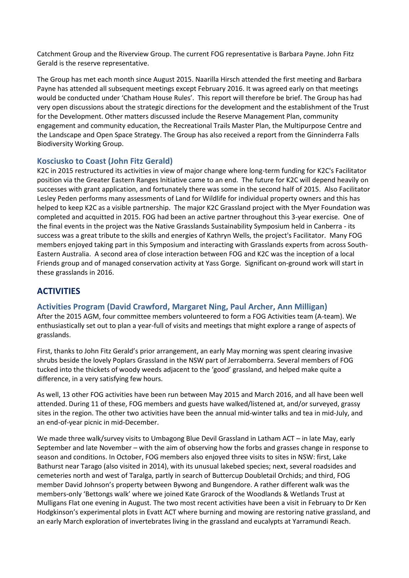Catchment Group and the Riverview Group. The current FOG representative is Barbara Payne. John Fitz Gerald is the reserve representative.

The Group has met each month since August 2015. Naarilla Hirsch attended the first meeting and Barbara Payne has attended all subsequent meetings except February 2016. It was agreed early on that meetings would be conducted under 'Chatham House Rules'. This report will therefore be brief. The Group has had very open discussions about the strategic directions for the development and the establishment of the Trust for the Development. Other matters discussed include the Reserve Management Plan, community engagement and community education, the Recreational Trails Master Plan, the Multipurpose Centre and the Landscape and Open Space Strategy. The Group has also received a report from the Ginninderra Falls Biodiversity Working Group.

## <span id="page-11-0"></span>**Kosciusko to Coast (John Fitz Gerald)**

K2C in 2015 restructured its activities in view of major change where long-term funding for K2C's Facilitator position via the Greater Eastern Ranges Initiative came to an end. The future for K2C will depend heavily on successes with grant application, and fortunately there was some in the second half of 2015. Also Facilitator Lesley Peden performs many assessments of Land for Wildlife for individual property owners and this has helped to keep K2C as a visible partnership. The major K2C Grassland project with the Myer Foundation was completed and acquitted in 2015. FOG had been an active partner throughout this 3-year exercise. One of the final events in the project was the Native Grasslands Sustainability Symposium held in Canberra - its success was a great tribute to the skills and energies of Kathryn Wells, the project's Facilitator. Many FOG members enjoyed taking part in this Symposium and interacting with Grasslands experts from across South-Eastern Australia. A second area of close interaction between FOG and K2C was the inception of a local Friends group and of managed conservation activity at Yass Gorge. Significant on-ground work will start in these grasslands in 2016.

# <span id="page-11-1"></span>**ACTIVITIES**

### <span id="page-11-2"></span>**Activities Program (David Crawford, Margaret Ning, Paul Archer, Ann Milligan)**

After the 2015 AGM, four committee members volunteered to form a FOG Activities team (A-team). We enthusiastically set out to plan a year-full of visits and meetings that might explore a range of aspects of grasslands.

First, thanks to John Fitz Gerald's prior arrangement, an early May morning was spent clearing invasive shrubs beside the lovely Poplars Grassland in the NSW part of Jerrabomberra. Several members of FOG tucked into the thickets of woody weeds adjacent to the 'good' grassland, and helped make quite a difference, in a very satisfying few hours.

As well, 13 other FOG activities have been run between May 2015 and March 2016, and all have been well attended. During 11 of these, FOG members and guests have walked/listened at, and/or surveyed, grassy sites in the region. The other two activities have been the annual mid-winter talks and tea in mid-July, and an end-of-year picnic in mid-December.

We made three walk/survey visits to Umbagong Blue Devil Grassland in Latham ACT – in late May, early September and late November – with the aim of observing how the forbs and grasses change in response to season and conditions. In October, FOG members also enjoyed three visits to sites in NSW: first, Lake Bathurst near Tarago (also visited in 2014), with its unusual lakebed species; next, several roadsides and cemeteries north and west of Taralga, partly in search of Buttercup Doubletail Orchids; and third, FOG member David Johnson's property between Bywong and Bungendore. A rather different walk was the members-only 'Bettongs walk' where we joined Kate Grarock of the Woodlands & Wetlands Trust at Mulligans Flat one evening in August. The two most recent activities have been a visit in February to Dr Ken Hodgkinson's experimental plots in Evatt ACT where burning and mowing are restoring native grassland, and an early March exploration of invertebrates living in the grassland and eucalypts at Yarramundi Reach.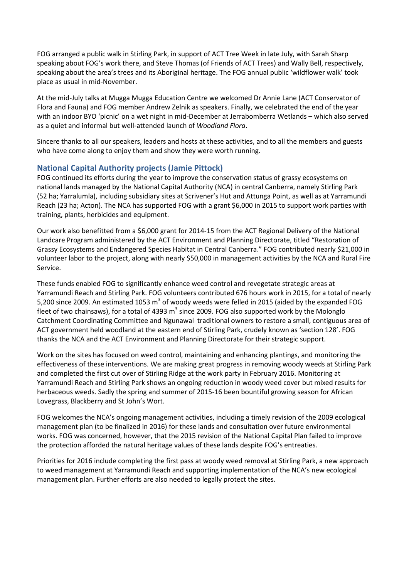FOG arranged a public walk in Stirling Park, in support of ACT Tree Week in late July, with Sarah Sharp speaking about FOG's work there, and Steve Thomas (of Friends of ACT Trees) and Wally Bell, respectively, speaking about the area's trees and its Aboriginal heritage. The FOG annual public 'wildflower walk' took place as usual in mid-November.

At the mid-July talks at Mugga Mugga Education Centre we welcomed Dr Annie Lane (ACT Conservator of Flora and Fauna) and FOG member Andrew Zelnik as speakers. Finally, we celebrated the end of the year with an indoor BYO 'picnic' on a wet night in mid-December at Jerrabomberra Wetlands – which also served as a quiet and informal but well-attended launch of *Woodland Flora*.

Sincere thanks to all our speakers, leaders and hosts at these activities, and to all the members and guests who have come along to enjoy them and show they were worth running.

## <span id="page-12-0"></span>**National Capital Authority projects (Jamie Pittock)**

FOG continued its efforts during the year to improve the conservation status of grassy ecosystems on national lands managed by the National Capital Authority (NCA) in central Canberra, namely Stirling Park (52 ha; Yarralumla), including subsidiary sites at Scrivener's Hut and Attunga Point, as well as at Yarramundi Reach (23 ha; Acton). The NCA has supported FOG with a grant \$6,000 in 2015 to support work parties with training, plants, herbicides and equipment.

Our work also benefitted from a \$6,000 grant for 2014-15 from the ACT Regional Delivery of the National Landcare Program administered by the ACT Environment and Planning Directorate, titled "Restoration of Grassy Ecosystems and Endangered Species Habitat in Central Canberra." FOG contributed nearly \$21,000 in volunteer labor to the project, along with nearly \$50,000 in management activities by the NCA and Rural Fire Service.

These funds enabled FOG to significantly enhance weed control and revegetate strategic areas at Yarramundi Reach and Stirling Park. FOG volunteers contributed 676 hours work in 2015, for a total of nearly 5,200 since 2009. An estimated 1053 m<sup>3</sup> of woody weeds were felled in 2015 (aided by the expanded FOG fleet of two chainsaws), for a total of 4393  $m^3$  since 2009. FOG also supported work by the Molonglo Catchment Coordinating Committee and Ngunawal traditional owners to restore a small, contiguous area of ACT government held woodland at the eastern end of Stirling Park, crudely known as 'section 128'. FOG thanks the NCA and the ACT Environment and Planning Directorate for their strategic support.

Work on the sites has focused on weed control, maintaining and enhancing plantings, and monitoring the effectiveness of these interventions. We are making great progress in removing woody weeds at Stirling Park and completed the first cut over of Stirling Ridge at the work party in February 2016. Monitoring at Yarramundi Reach and Stirling Park shows an ongoing reduction in woody weed cover but mixed results for herbaceous weeds. Sadly the spring and summer of 2015-16 been bountiful growing season for African Lovegrass, Blackberry and St John's Wort.

FOG welcomes the NCA's ongoing management activities, including a timely revision of the 2009 ecological management plan (to be finalized in 2016) for these lands and consultation over future environmental works. FOG was concerned, however, that the 2015 revision of the National Capital Plan failed to improve the protection afforded the natural heritage values of these lands despite FOG's entreaties.

<span id="page-12-1"></span>Priorities for 2016 include completing the first pass at woody weed removal at Stirling Park, a new approach to weed management at Yarramundi Reach and supporting implementation of the NCA's new ecological management plan. Further efforts are also needed to legally protect the sites.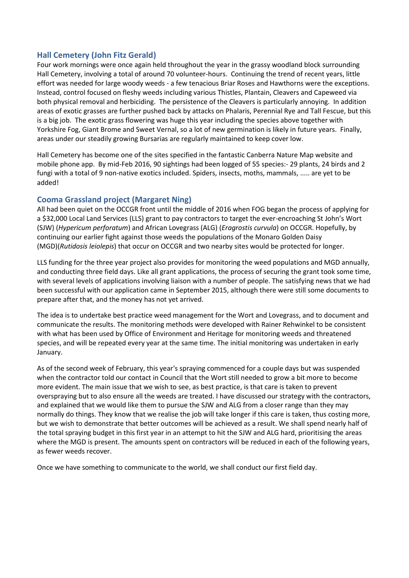## **Hall Cemetery (John Fitz Gerald)**

Four work mornings were once again held throughout the year in the grassy woodland block surrounding Hall Cemetery, involving a total of around 70 volunteer-hours. Continuing the trend of recent years, little effort was needed for large woody weeds - a few tenacious Briar Roses and Hawthorns were the exceptions. Instead, control focused on fleshy weeds including various Thistles, Plantain, Cleavers and Capeweed via both physical removal and herbiciding. The persistence of the Cleavers is particularly annoying. In addition areas of exotic grasses are further pushed back by attacks on Phalaris, Perennial Rye and Tall Fescue, but this is a big job. The exotic grass flowering was huge this year including the species above together with Yorkshire Fog, Giant Brome and Sweet Vernal, so a lot of new germination is likely in future years. Finally, areas under our steadily growing Bursarias are regularly maintained to keep cover low.

Hall Cemetery has become one of the sites specified in the fantastic Canberra Nature Map website and mobile phone app. By mid-Feb 2016, 90 sightings had been logged of 55 species:- 29 plants, 24 birds and 2 fungi with a total of 9 non-native exotics included. Spiders, insects, moths, mammals, ..... are yet to be added!

### <span id="page-13-0"></span>**Cooma Grassland project (Margaret Ning)**

All had been quiet on the OCCGR front until the middle of 2016 when FOG began the process of applying for a \$32,000 Local Land Services (LLS) grant to pay contractors to target the ever-encroaching St John's Wort (SJW) (*Hypericum perforatum*) and African Lovegrass (ALG) (*Eragrostis curvula*) on OCCGR. Hopefully, by continuing our earlier fight against those weeds the populations of the Monaro Golden Daisy (MGD)(*Rutidosis leiolepis*) that occur on OCCGR and two nearby sites would be protected for longer.

LLS funding for the three year project also provides for monitoring the weed populations and MGD annually, and conducting three field days. Like all grant applications, the process of securing the grant took some time, with several levels of applications involving liaison with a number of people. The satisfying news that we had been successful with our application came in September 2015, although there were still some documents to prepare after that, and the money has not yet arrived.

The idea is to undertake best practice weed management for the Wort and Lovegrass, and to document and communicate the results. The monitoring methods were developed with Rainer Rehwinkel to be consistent with what has been used by Office of Environment and Heritage for monitoring weeds and threatened species, and will be repeated every year at the same time. The initial monitoring was undertaken in early January.

As of the second week of February, this year's spraying commenced for a couple days but was suspended when the contractor told our contact in Council that the Wort still needed to grow a bit more to become more evident. The main issue that we wish to see, as best practice, is that care is taken to prevent overspraying but to also ensure all the weeds are treated. I have discussed our strategy with the contractors, and explained that we would like them to pursue the SJW and ALG from a closer range than they may normally do things. They know that we realise the job will take longer if this care is taken, thus costing more, but we wish to demonstrate that better outcomes will be achieved as a result. We shall spend nearly half of the total spraying budget in this first year in an attempt to hit the SJW and ALG hard, prioritising the areas where the MGD is present. The amounts spent on contractors will be reduced in each of the following years, as fewer weeds recover.

Once we have something to communicate to the world, we shall conduct our first field day.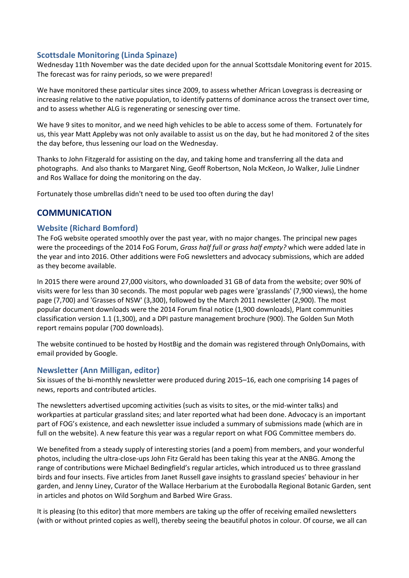## <span id="page-14-0"></span>**Scottsdale Monitoring (Linda Spinaze)**

Wednesday 11th November was the date decided upon for the annual Scottsdale Monitoring event for 2015. The forecast was for rainy periods, so we were prepared!

We have monitored these particular sites since 2009, to assess whether African Lovegrass is decreasing or increasing relative to the native population, to identify patterns of dominance across the transect over time, and to assess whether ALG is regenerating or senescing over time.

We have 9 sites to monitor, and we need high vehicles to be able to access some of them. Fortunately for us, this year Matt Appleby was not only available to assist us on the day, but he had monitored 2 of the sites the day before, thus lessening our load on the Wednesday.

Thanks to John Fitzgerald for assisting on the day, and taking home and transferring all the data and photographs. And also thanks to Margaret Ning, Geoff Robertson, Nola McKeon, Jo Walker, Julie Lindner and Ros Wallace for doing the monitoring on the day.

Fortunately those umbrellas didn't need to be used too often during the day!

## <span id="page-14-1"></span>**COMMUNICATION**

## <span id="page-14-2"></span>**Website (Richard Bomford)**

The FoG website operated smoothly over the past year, with no major changes. The principal new pages were the proceedings of the 2014 FoG Forum, *Grass half full or grass half empty?* which were added late in the year and into 2016. Other additions were FoG newsletters and advocacy submissions, which are added as they become available.

In 2015 there were around 27,000 visitors, who downloaded 31 GB of data from the website; over 90% of visits were for less than 30 seconds. The most popular web pages were 'grasslands' (7,900 views), the home page (7,700) and 'Grasses of NSW' (3,300), followed by the March 2011 newsletter (2,900). The most popular document downloads were the 2014 Forum final notice (1,900 downloads), Plant communities classification version 1.1 (1,300), and a DPI pasture management brochure (900). The Golden Sun Moth report remains popular (700 downloads).

The website continued to be hosted by HostBig and the domain was registered through OnlyDomains, with email provided by Google.

### <span id="page-14-3"></span>**Newsletter (Ann Milligan, editor)**

Six issues of the bi-monthly newsletter were produced during 2015–16, each one comprising 14 pages of news, reports and contributed articles.

The newsletters advertised upcoming activities (such as visits to sites, or the mid-winter talks) and workparties at particular grassland sites; and later reported what had been done. Advocacy is an important part of FOG's existence, and each newsletter issue included a summary of submissions made (which are in full on the website). A new feature this year was a regular report on what FOG Committee members do.

We benefited from a steady supply of interesting stories (and a poem) from members, and your wonderful photos, including the ultra-close-ups John Fitz Gerald has been taking this year at the ANBG. Among the range of contributions were Michael Bedingfield's regular articles, which introduced us to three grassland birds and four insects. Five articles from Janet Russell gave insights to grassland species' behaviour in her garden, and Jenny Liney, Curator of the Wallace Herbarium at the Eurobodalla Regional Botanic Garden, sent in articles and photos on Wild Sorghum and Barbed Wire Grass.

It is pleasing (to this editor) that more members are taking up the offer of receiving emailed newsletters (with or without printed copies as well), thereby seeing the beautiful photos in colour. Of course, we all can